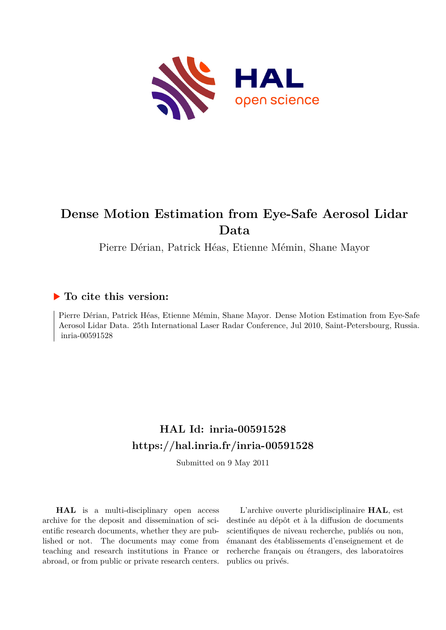

# **Dense Motion Estimation from Eye-Safe Aerosol Lidar Data**

Pierre Dérian, Patrick Héas, Etienne Mémin, Shane Mayor

# **To cite this version:**

Pierre Dérian, Patrick Héas, Etienne Mémin, Shane Mayor. Dense Motion Estimation from Eye-Safe Aerosol Lidar Data. 25th International Laser Radar Conference, Jul 2010, Saint-Petersbourg, Russia. inria-00591528

# **HAL Id: inria-00591528 <https://hal.inria.fr/inria-00591528>**

Submitted on 9 May 2011

**HAL** is a multi-disciplinary open access archive for the deposit and dissemination of scientific research documents, whether they are published or not. The documents may come from teaching and research institutions in France or abroad, or from public or private research centers.

L'archive ouverte pluridisciplinaire **HAL**, est destinée au dépôt et à la diffusion de documents scientifiques de niveau recherche, publiés ou non, émanant des établissements d'enseignement et de recherche français ou étrangers, des laboratoires publics ou privés.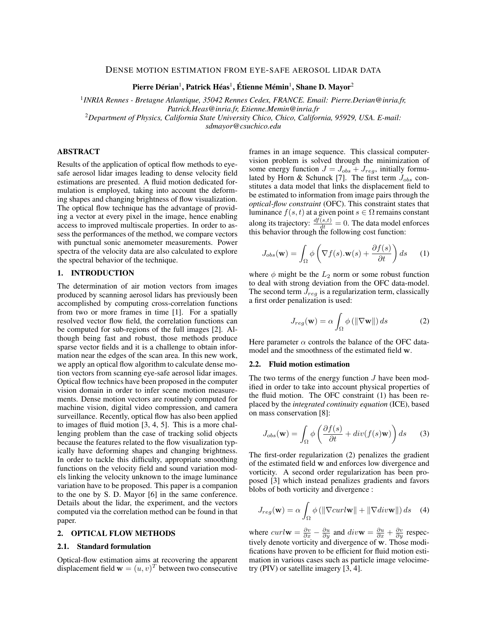# DENSE MOTION ESTIMATION FROM EYE-SAFE AEROSOL LIDAR DATA

Pierre Dérian $^1$ , Patrick Héas $^1$ , Étienne Mémin $^1$ , Shane D. Mayor $^2$ 

1 *INRIA Rennes - Bretagne Atlantique, 35042 Rennes Cedex, FRANCE. Email: Pierre.Derian@inria.fr, Patrick.Heas@inria.fr, Etienne.Memin@inria.fr* <sup>2</sup>*Department of Physics, California State University Chico, Chico, California, 95929, USA. E-mail: sdmayor@csuchico.edu*

# ABSTRACT

Results of the application of optical flow methods to eyesafe aerosol lidar images leading to dense velocity field estimations are presented. A fluid motion dedicated formulation is employed, taking into account the deforming shapes and changing brightness of flow visualization. The optical flow technique has the advantage of providing a vector at every pixel in the image, hence enabling access to improved multiscale properties. In order to assess the performances of the method, we compare vectors with punctual sonic anemometer measurements. Power spectra of the velocity data are also calculated to explore the spectral behavior of the technique.

#### 1. INTRODUCTION

The determination of air motion vectors from images produced by scanning aerosol lidars has previously been accomplished by computing cross-correlation functions from two or more frames in time [1]. For a spatially resolved vector flow field, the correlation functions can be computed for sub-regions of the full images [2]. Although being fast and robust, those methods produce sparse vector fields and it is a challenge to obtain information near the edges of the scan area. In this new work, we apply an optical flow algorithm to calculate dense motion vectors from scanning eye-safe aerosol lidar images. Optical flow technics have been proposed in the computer vision domain in order to infer scene motion measurements. Dense motion vectors are routinely computed for machine vision, digital video compression, and camera surveillance. Recently, optical flow has also been applied to images of fluid motion [3, 4, 5]. This is a more challenging problem than the case of tracking solid objects because the features related to the flow visualization typically have deforming shapes and changing brightness. In order to tackle this difficulty, appropriate smoothing functions on the velocity field and sound variation models linking the velocity unknown to the image luminance variation have to be proposed. This paper is a companion to the one by S. D. Mayor [6] in the same conference. Details about the lidar, the experiment, and the vectors computed via the correlation method can be found in that paper.

# 2. OPTICAL FLOW METHODS

#### 2.1. Standard formulation

Optical-flow estimation aims at recovering the apparent displacement field  $\mathbf{w} = (u, v)^T$  between two consecutive

frames in an image sequence. This classical computervision problem is solved through the minimization of some energy function  $J = J_{obs} + J_{reg}$ , initially formulated by Horn & Schunck [7]. The first term  $J_{obs}$  constitutes a data model that links the displacement field to be estimated to information from image pairs through the *optical-flow constraint* (OFC). This constraint states that luminance  $f(s, t)$  at a given point  $s \in \Omega$  remains constant along its trajectory:  $\frac{df(s,t)}{dt} = 0$ . The data model enforces this behavior through the following cost function:

$$
J_{obs}(\mathbf{w}) = \int_{\Omega} \phi \left( \nabla f(s) . \mathbf{w}(s) + \frac{\partial f(s)}{\partial t} \right) ds \qquad (1)
$$

where  $\phi$  might be the  $L_2$  norm or some robust function to deal with strong deviation from the OFC data-model. The second term  $J_{req}$  is a regularization term, classically a first order penalization is used:

$$
J_{reg}(\mathbf{w}) = \alpha \int_{\Omega} \phi \left( \left\| \nabla \mathbf{w} \right\| \right) ds \tag{2}
$$

Here parameter  $\alpha$  controls the balance of the OFC datamodel and the smoothness of the estimated field w.

#### 2.2. Fluid motion estimation

The two terms of the energy function  $J$  have been modified in order to take into account physical properties of the fluid motion. The OFC constraint (1) has been replaced by the *integrated continuity equation* (ICE), based on mass conservation [8]:

$$
J_{obs}(\mathbf{w}) = \int_{\Omega} \phi \left( \frac{\partial f(s)}{\partial t} + div(f(s)\mathbf{w}) \right) ds \qquad (3)
$$

The first-order regularization (2) penalizes the gradient of the estimated field w and enforces low divergence and vorticity. A second order regularization has been proposed [3] which instead penalizes gradients and favors blobs of both vorticity and divergence :

$$
J_{reg}(\mathbf{w}) = \alpha \int_{\Omega} \phi \left( \|\nabla curl\mathbf{w}\| + \|\nabla div\mathbf{w}\| \right) ds \quad (4)
$$

where  $curl \mathbf{w} = \frac{\partial v}{\partial x} - \frac{\partial u}{\partial y}$  and  $div \mathbf{w} = \frac{\partial u}{\partial x} + \frac{\partial v}{\partial y}$  respectively denote vorticity and divergence of w. Those modifications have proven to be efficient for fluid motion estimation in various cases such as particle image velocimetry (PIV) or satellite imagery [3, 4].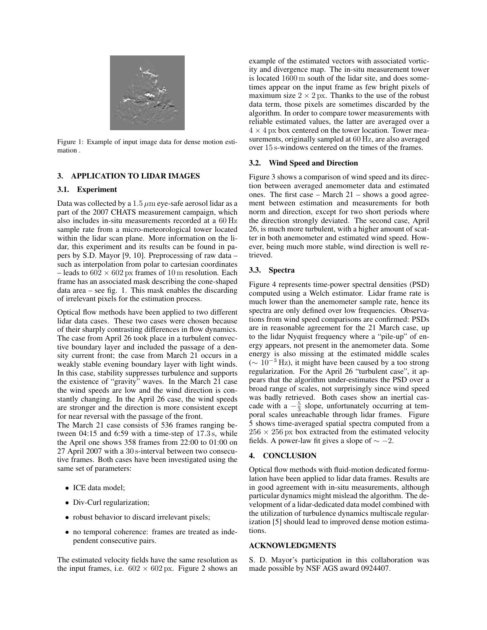

Figure 1: Example of input image data for dense motion estimation .

# 3. APPLICATION TO LIDAR IMAGES

#### 3.1. Experiment

Data was collected by a  $1.5 \mu m$  eye-safe aerosol lidar as a part of the 2007 CHATS measurement campaign, which also includes in-situ measurements recorded at a 60 Hz sample rate from a micro-meteorological tower located within the lidar scan plane. More information on the lidar, this experiment and its results can be found in papers by S.D. Mayor [9, 10]. Preprocessing of raw data – such as interpolation from polar to cartesian coordinates – leads to  $602 \times 602$  px frames of 10 m resolution. Each frame has an associated mask describing the cone-shaped data area – see fig. 1. This mask enables the discarding of irrelevant pixels for the estimation process.

Optical flow methods have been applied to two different lidar data cases. These two cases were chosen because of their sharply contrasting differences in flow dynamics. The case from April 26 took place in a turbulent convective boundary layer and included the passage of a density current front; the case from March 21 occurs in a weakly stable evening boundary layer with light winds. In this case, stability suppresses turbulence and supports the existence of "gravity" waves. In the March 21 case the wind speeds are low and the wind direction is constantly changing. In the April 26 case, the wind speeds are stronger and the direction is more consistent except for near reversal with the passage of the front.

The March 21 case consists of 536 frames ranging between 04:15 and 6:59 with a time-step of 17.3 s, while the April one shows 358 frames from 22:00 to 01:00 on 27 April 2007 with a 30 s-interval between two consecutive frames. Both cases have been investigated using the same set of parameters:

- ICE data model;
- Div-Curl regularization;
- robust behavior to discard irrelevant pixels;
- no temporal coherence: frames are treated as independent consecutive pairs.

The estimated velocity fields have the same resolution as the input frames, i.e.  $602 \times 602$  px. Figure 2 shows an example of the estimated vectors with associated vorticity and divergence map. The in-situ measurement tower is located 1600 m south of the lidar site, and does sometimes appear on the input frame as few bright pixels of maximum size  $2 \times 2$  px. Thanks to the use of the robust data term, those pixels are sometimes discarded by the algorithm. In order to compare tower measurements with reliable estimated values, the latter are averaged over a  $4 \times 4$  px box centered on the tower location. Tower measurements, originally sampled at 60 Hz, are also averaged over 15 s-windows centered on the times of the frames.

#### 3.2. Wind Speed and Direction

Figure 3 shows a comparison of wind speed and its direction between averaged anemometer data and estimated ones. The first case – March 21 – shows a good agreement between estimation and measurements for both norm and direction, except for two short periods where the direction strongly deviated. The second case, April 26, is much more turbulent, with a higher amount of scatter in both anemometer and estimated wind speed. However, being much more stable, wind direction is well retrieved.

# 3.3. Spectra

Figure 4 represents time-power spectral densities (PSD) computed using a Welch estimator. Lidar frame rate is much lower than the anemometer sample rate, hence its spectra are only defined over low frequencies. Observations from wind speed comparisons are confirmed: PSDs are in reasonable agreement for the 21 March case, up to the lidar Nyquist frequency where a "pile-up" of energy appears, not present in the anemometer data. Some energy is also missing at the estimated middle scales ( $∼ 10^{-3}$  Hz), it might have been caused by a too strong regularization. For the April 26 "turbulent case", it appears that the algorithm under-estimates the PSD over a broad range of scales, not surprisingly since wind speed was badly retrieved. Both cases show an inertial cascade with a  $-\frac{5}{3}$  slope, unfortunately occurring at temporal scales unreachable through lidar frames. Figure 5 shows time-averaged spatial spectra computed from a  $256 \times 256$  px box extracted from the estimated velocity fields. A power-law fit gives a slope of  $\sim -2$ .

### 4. CONCLUSION

Optical flow methods with fluid-motion dedicated formulation have been applied to lidar data frames. Results are in good agreement with in-situ measurements, although particular dynamics might mislead the algorithm. The development of a lidar-dedicated data model combined with the utilization of turbulence dynamics multiscale regularization [5] should lead to improved dense motion estimations.

### ACKNOWLEDGMENTS

S. D. Mayor's participation in this collaboration was made possible by NSF AGS award 0924407.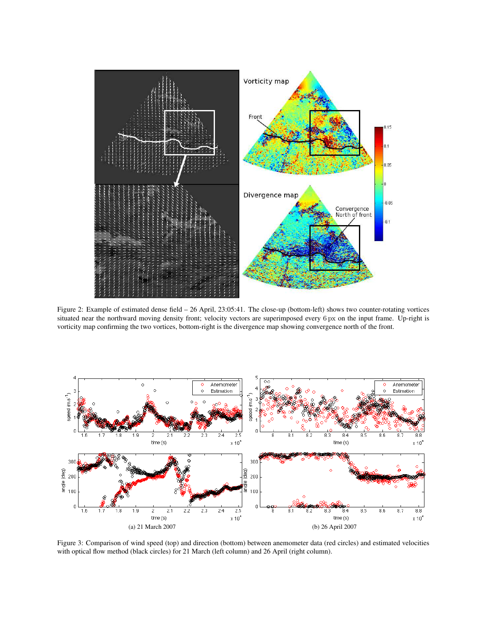

Figure 2: Example of estimated dense field – 26 April, 23:05:41. The close-up (bottom-left) shows two counter-rotating vortices situated near the northward moving density front; velocity vectors are superimposed every 6 px on the input frame. Up-right is vorticity map confirming the two vortices, bottom-right is the divergence map showing convergence north of the front.



Figure 3: Comparison of wind speed (top) and direction (bottom) between anemometer data (red circles) and estimated velocities with optical flow method (black circles) for 21 March (left column) and 26 April (right column).